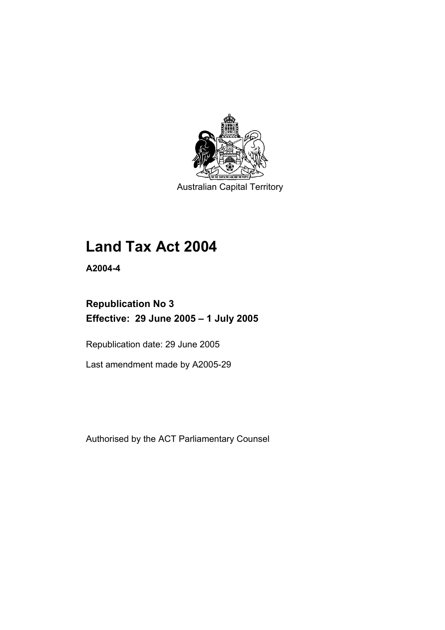

Australian Capital Territory

# **Land Tax Act 2004**

**A2004-4** 

# **Republication No 3 Effective: 29 June 2005 – 1 July 2005**

Republication date: 29 June 2005

Last amendment made by A2005-29

Authorised by the ACT Parliamentary Counsel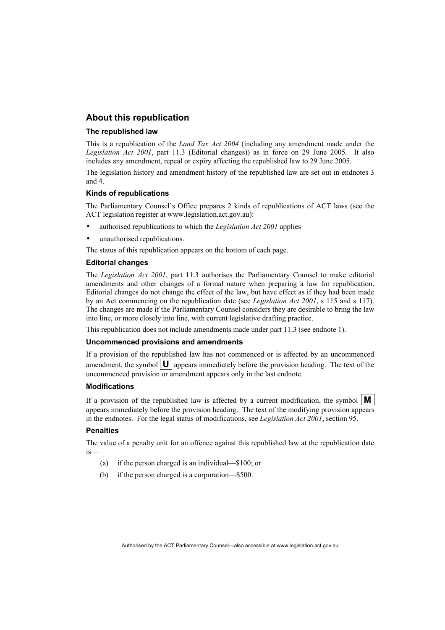# **About this republication**

#### **The republished law**

This is a republication of the *Land Tax Act 2004* (including any amendment made under the *Legislation Act 2001*, part 11.3 (Editorial changes)) as in force on 29 June 2005*.* It also includes any amendment, repeal or expiry affecting the republished law to 29 June 2005.

The legislation history and amendment history of the republished law are set out in endnotes 3 and 4.

#### **Kinds of republications**

The Parliamentary Counsel's Office prepares 2 kinds of republications of ACT laws (see the ACT legislation register at www.legislation.act.gov.au):

- authorised republications to which the *Legislation Act 2001* applies
- unauthorised republications.

The status of this republication appears on the bottom of each page.

#### **Editorial changes**

The *Legislation Act 2001*, part 11.3 authorises the Parliamentary Counsel to make editorial amendments and other changes of a formal nature when preparing a law for republication. Editorial changes do not change the effect of the law, but have effect as if they had been made by an Act commencing on the republication date (see *Legislation Act 2001*, s 115 and s 117). The changes are made if the Parliamentary Counsel considers they are desirable to bring the law into line, or more closely into line, with current legislative drafting practice.

This republication does not include amendments made under part 11.3 (see endnote 1).

#### **Uncommenced provisions and amendments**

If a provision of the republished law has not commenced or is affected by an uncommenced amendment, the symbol  $\mathbf{U}$  appears immediately before the provision heading. The text of the uncommenced provision or amendment appears only in the last endnote.

#### **Modifications**

If a provision of the republished law is affected by a current modification, the symbol  $\mathbf{M}$ appears immediately before the provision heading. The text of the modifying provision appears in the endnotes. For the legal status of modifications, see *Legislation Act 2001*, section 95.

#### **Penalties**

The value of a penalty unit for an offence against this republished law at the republication date is—

- (a) if the person charged is an individual—\$100; or
- (b) if the person charged is a corporation—\$500.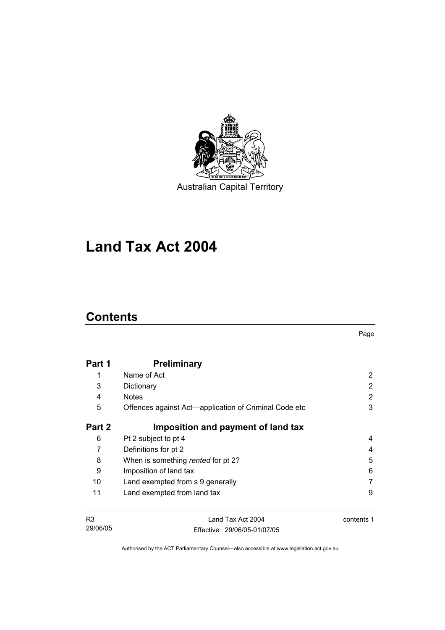

Australian Capital Territory

# **Land Tax Act 2004**

# **Contents**

Page

| Part 1 | <b>Preliminary</b>                                    |   |
|--------|-------------------------------------------------------|---|
| 1      | Name of Act                                           | 2 |
| 3      | Dictionary                                            | 2 |
| 4      | <b>Notes</b>                                          | 2 |
| 5      | Offences against Act—application of Criminal Code etc | 3 |
| Part 2 | Imposition and payment of land tax                    |   |
| 6      | Pt 2 subject to pt 4                                  | 4 |
| 7      | Definitions for pt 2                                  | 4 |
| 8      | When is something rented for pt 2?                    | 5 |
| 9      | Imposition of land tax                                | 6 |
| 10     | Land exempted from s 9 generally                      |   |
| 11     | Land exempted from land tax                           | 9 |

| R3       | Land Tax Act 2004            | contents 1 |
|----------|------------------------------|------------|
| 29/06/05 | Effective: 29/06/05-01/07/05 |            |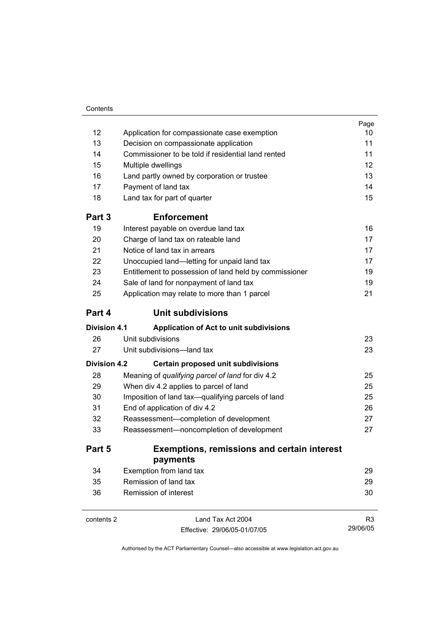| Contents |
|----------|
|          |

|                     |                                                        | Page           |  |
|---------------------|--------------------------------------------------------|----------------|--|
| 12                  | Application for compassionate case exemption           | 10<br>11       |  |
| 13                  | Decision on compassionate application                  |                |  |
| 14                  | Commissioner to be told if residential land rented     | 11             |  |
| 15                  | Multiple dwellings                                     | 12             |  |
| 16                  | Land partly owned by corporation or trustee            | 13             |  |
| 17                  | Payment of land tax                                    | 14             |  |
| 18                  | Land tax for part of quarter                           | 15             |  |
| Part 3              | <b>Enforcement</b>                                     |                |  |
| 19                  | Interest payable on overdue land tax                   | 16             |  |
| 20                  | Charge of land tax on rateable land                    | 17             |  |
| 21                  | Notice of land tax in arrears                          | 17             |  |
| 22                  | Unoccupied land-letting for unpaid land tax            | 17             |  |
| 23                  | Entitlement to possession of land held by commissioner | 19             |  |
| 24                  | Sale of land for nonpayment of land tax                | 19             |  |
| 25                  | Application may relate to more than 1 parcel           | 21             |  |
| Part 4              | <b>Unit subdivisions</b>                               |                |  |
| <b>Division 4.1</b> | Application of Act to unit subdivisions                |                |  |
| 26                  | Unit subdivisions                                      | 23             |  |
| 27                  | Unit subdivisions-land tax                             | 23             |  |
| <b>Division 4.2</b> | Certain proposed unit subdivisions                     |                |  |
| 28                  | Meaning of qualifying parcel of land for div 4.2       | 25             |  |
| 29                  | When div 4.2 applies to parcel of land                 | 25             |  |
| 30                  | Imposition of land tax-qualifying parcels of land      | 25             |  |
| 31                  | End of application of div 4.2                          | 26             |  |
| 32                  | Reassessment-completion of development                 |                |  |
| 33                  | Reassessment-noncompletion of development              | 27             |  |
| Part 5              | <b>Exemptions, remissions and certain interest</b>     |                |  |
|                     | payments                                               |                |  |
| 34                  | Exemption from land tax                                | 29             |  |
| 35                  | Remission of land tax                                  | 29             |  |
| 36                  | Remission of interest                                  | 30             |  |
| contents 2          | Land Tax Act 2004                                      | R <sub>3</sub> |  |

Effective: 29/06/05-01/07/05

29/06/05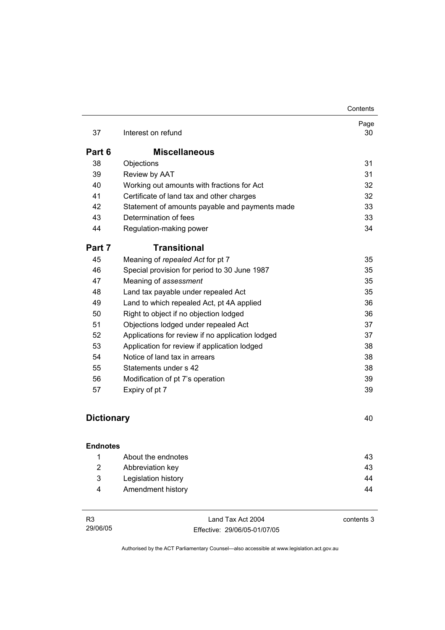|                   |                                                  | Contents   |
|-------------------|--------------------------------------------------|------------|
| 37                | Interest on refund                               | Page<br>30 |
| Part 6            | <b>Miscellaneous</b>                             |            |
| 38                | Objections                                       | 31         |
| 39                | Review by AAT                                    | 31         |
| 40                | Working out amounts with fractions for Act       | 32         |
| 41                | Certificate of land tax and other charges        | 32         |
| 42                | Statement of amounts payable and payments made   | 33         |
| 43                | Determination of fees                            | 33         |
| 44                | Regulation-making power                          | 34         |
| Part 7            | <b>Transitional</b>                              |            |
| 45                | Meaning of repealed Act for pt 7                 | 35         |
| 46                | Special provision for period to 30 June 1987     | 35         |
| 47                | Meaning of assessment                            | 35         |
| 48                | Land tax payable under repealed Act              | 35         |
| 49                | Land to which repealed Act, pt 4A applied        | 36         |
| 50                | Right to object if no objection lodged           | 36         |
| 51                | Objections lodged under repealed Act             | 37         |
| 52                | Applications for review if no application lodged | 37         |
| 53                | Application for review if application lodged     | 38         |
| 54                | Notice of land tax in arrears                    | 38         |
| 55                | Statements under s 42                            | 38         |
| 56                | Modification of pt 7's operation                 | 39         |
| 57                | Expiry of pt 7                                   | 39         |
|                   |                                                  |            |
| <b>Dictionary</b> |                                                  | 40         |
|                   |                                                  |            |

| <b>Endnotes</b> |                     |    |
|-----------------|---------------------|----|
|                 | About the endnotes  | 43 |
| 2               | Abbreviation key    | 43 |
| 3               | Legislation history | 44 |
| 4               | Amendment history   | 44 |

| R3       | Land Tax Act 2004            | contents 3 |
|----------|------------------------------|------------|
| 29/06/05 | Effective: 29/06/05-01/07/05 |            |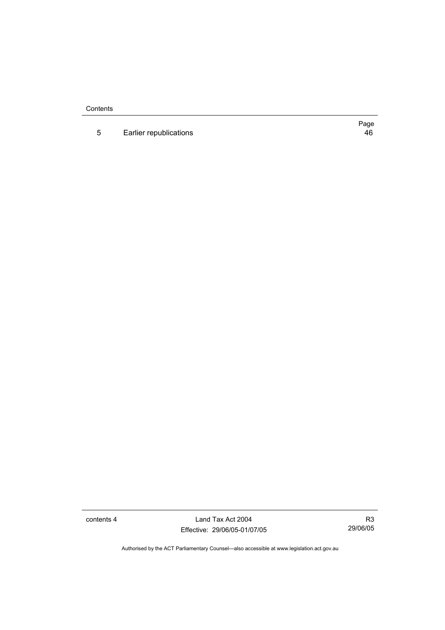**Contents** 

5 Earlier republications **46** 

Page

contents 4 Land Tax Act 2004 Effective: 29/06/05-01/07/05

R3 29/06/05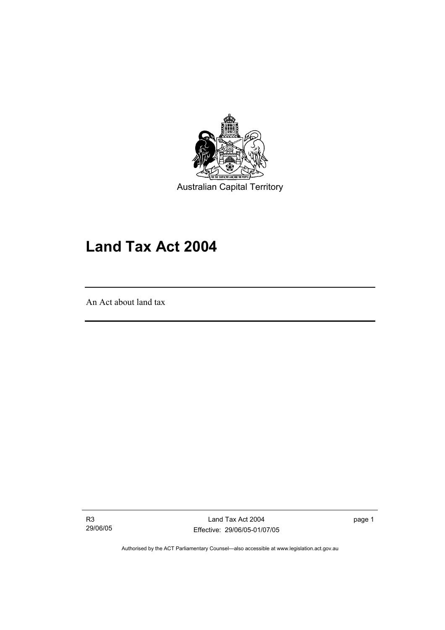

Australian Capital Territory

# **Land Tax Act 2004**

An Act about land tax

I

R3 29/06/05

Land Tax Act 2004 Effective: 29/06/05-01/07/05 page 1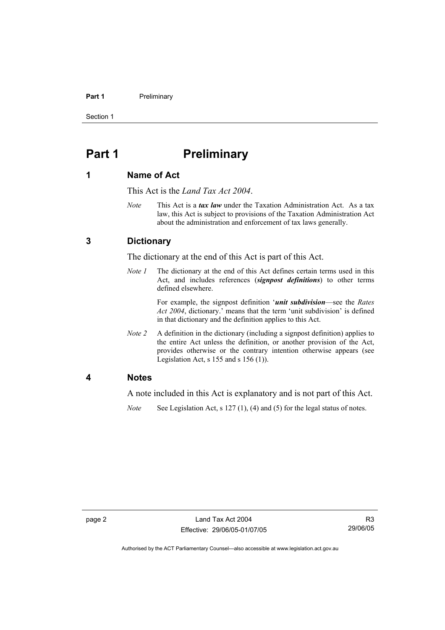#### Part 1 **Preliminary**

Section 1

# **Part 1** Preliminary

### **1 Name of Act**

This Act is the *Land Tax Act 2004*.

*Note* This Act is a *tax law* under the Taxation Administration Act. As a tax law, this Act is subject to provisions of the Taxation Administration Act about the administration and enforcement of tax laws generally.

# **3 Dictionary**

The dictionary at the end of this Act is part of this Act.

*Note 1* The dictionary at the end of this Act defines certain terms used in this Act, and includes references (*signpost definitions*) to other terms defined elsewhere.

> For example, the signpost definition '*unit subdivision*—see the *Rates Act 2004*, dictionary.' means that the term 'unit subdivision' is defined in that dictionary and the definition applies to this Act.

*Note 2* A definition in the dictionary (including a signpost definition) applies to the entire Act unless the definition, or another provision of the Act, provides otherwise or the contrary intention otherwise appears (see Legislation Act,  $s$  155 and  $s$  156 (1)).

### **4 Notes**

A note included in this Act is explanatory and is not part of this Act.

*Note* See Legislation Act, s 127 (1), (4) and (5) for the legal status of notes.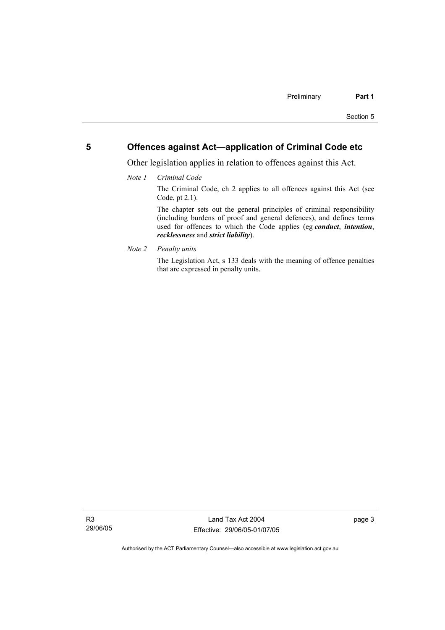# **5 Offences against Act—application of Criminal Code etc**

Other legislation applies in relation to offences against this Act.

*Note 1 Criminal Code*

The Criminal Code, ch 2 applies to all offences against this Act (see Code, pt 2.1).

The chapter sets out the general principles of criminal responsibility (including burdens of proof and general defences), and defines terms used for offences to which the Code applies (eg *conduct*, *intention*, *recklessness* and *strict liability*).

*Note 2 Penalty units* 

The Legislation Act, s 133 deals with the meaning of offence penalties that are expressed in penalty units.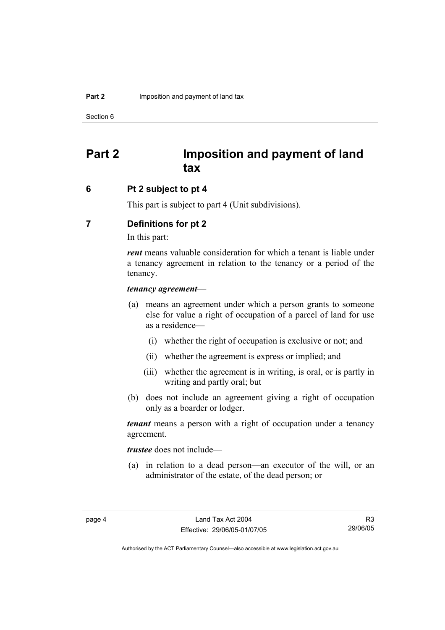Section 6

# **Part 2 Imposition and payment of land tax**

## **6 Pt 2 subject to pt 4**

This part is subject to part 4 (Unit subdivisions).

# **7 Definitions for pt 2**

In this part:

*rent* means valuable consideration for which a tenant is liable under a tenancy agreement in relation to the tenancy or a period of the tenancy.

### *tenancy agreement*—

- (a) means an agreement under which a person grants to someone else for value a right of occupation of a parcel of land for use as a residence—
	- (i) whether the right of occupation is exclusive or not; and
	- (ii) whether the agreement is express or implied; and
	- (iii) whether the agreement is in writing, is oral, or is partly in writing and partly oral; but
- (b) does not include an agreement giving a right of occupation only as a boarder or lodger.

*tenant* means a person with a right of occupation under a tenancy agreement.

*trustee* does not include—

 (a) in relation to a dead person—an executor of the will, or an administrator of the estate, of the dead person; or

R3 29/06/05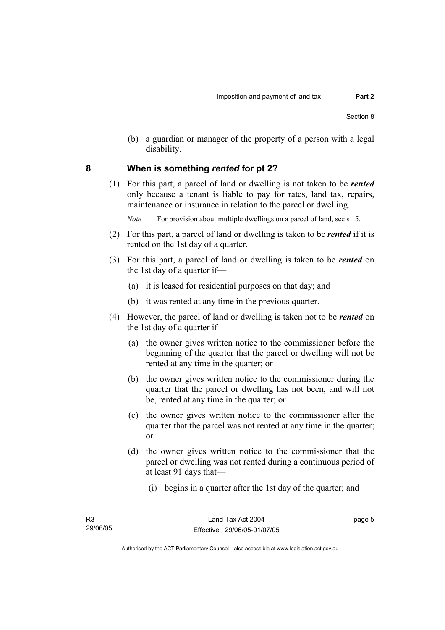(b) a guardian or manager of the property of a person with a legal disability.

## **8 When is something** *rented* **for pt 2?**

 (1) For this part, a parcel of land or dwelling is not taken to be *rented* only because a tenant is liable to pay for rates, land tax, repairs, maintenance or insurance in relation to the parcel or dwelling.

*Note* For provision about multiple dwellings on a parcel of land, see s 15.

- (2) For this part, a parcel of land or dwelling is taken to be *rented* if it is rented on the 1st day of a quarter.
- (3) For this part, a parcel of land or dwelling is taken to be *rented* on the 1st day of a quarter if—
	- (a) it is leased for residential purposes on that day; and
	- (b) it was rented at any time in the previous quarter.
- (4) However, the parcel of land or dwelling is taken not to be *rented* on the 1st day of a quarter if—
	- (a) the owner gives written notice to the commissioner before the beginning of the quarter that the parcel or dwelling will not be rented at any time in the quarter; or
	- (b) the owner gives written notice to the commissioner during the quarter that the parcel or dwelling has not been, and will not be, rented at any time in the quarter; or
	- (c) the owner gives written notice to the commissioner after the quarter that the parcel was not rented at any time in the quarter; or
	- (d) the owner gives written notice to the commissioner that the parcel or dwelling was not rented during a continuous period of at least 91 days that—
		- (i) begins in a quarter after the 1st day of the quarter; and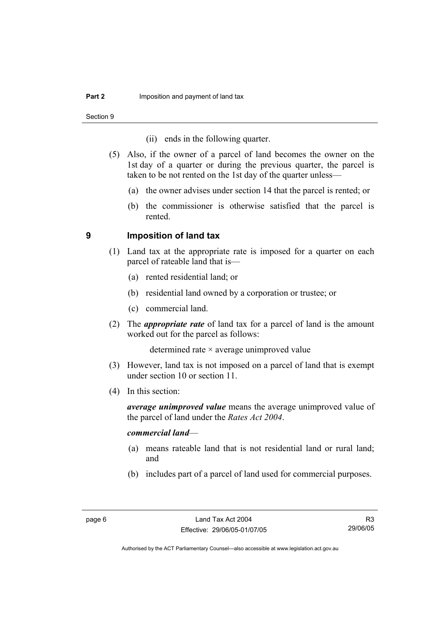Section 9

- (ii) ends in the following quarter.
- (5) Also, if the owner of a parcel of land becomes the owner on the 1st day of a quarter or during the previous quarter, the parcel is taken to be not rented on the 1st day of the quarter unless—
	- (a) the owner advises under section 14 that the parcel is rented; or
	- (b) the commissioner is otherwise satisfied that the parcel is rented.

### **9 Imposition of land tax**

- (1) Land tax at the appropriate rate is imposed for a quarter on each parcel of rateable land that is—
	- (a) rented residential land; or
	- (b) residential land owned by a corporation or trustee; or
	- (c) commercial land.
- (2) The *appropriate rate* of land tax for a parcel of land is the amount worked out for the parcel as follows:

determined rate × average unimproved value

- (3) However, land tax is not imposed on a parcel of land that is exempt under section 10 or section 11.
- (4) In this section:

*average unimproved value* means the average unimproved value of the parcel of land under the *Rates Act 2004*.

### *commercial land*—

- (a) means rateable land that is not residential land or rural land; and
- (b) includes part of a parcel of land used for commercial purposes.

R3 29/06/05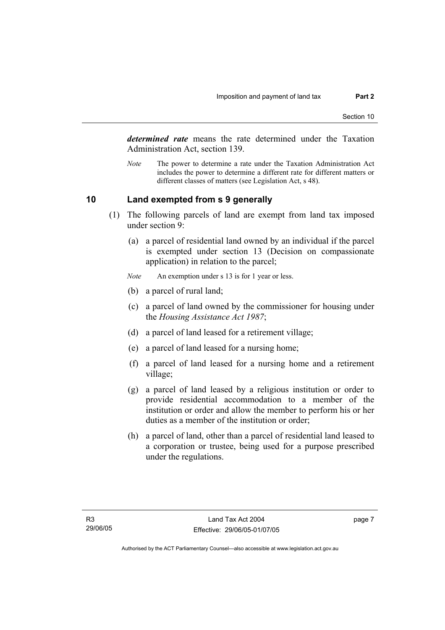*determined rate* means the rate determined under the Taxation Administration Act, section 139.

*Note* The power to determine a rate under the Taxation Administration Act includes the power to determine a different rate for different matters or different classes of matters (see Legislation Act, s 48).

# **10 Land exempted from s 9 generally**

- (1) The following parcels of land are exempt from land tax imposed under section 9:
	- (a) a parcel of residential land owned by an individual if the parcel is exempted under section 13 (Decision on compassionate application) in relation to the parcel;
	- *Note* An exemption under s 13 is for 1 year or less.
	- (b) a parcel of rural land;
	- (c) a parcel of land owned by the commissioner for housing under the *Housing Assistance Act 1987*;
	- (d) a parcel of land leased for a retirement village;
	- (e) a parcel of land leased for a nursing home;
	- (f) a parcel of land leased for a nursing home and a retirement village;
	- (g) a parcel of land leased by a religious institution or order to provide residential accommodation to a member of the institution or order and allow the member to perform his or her duties as a member of the institution or order;
	- (h) a parcel of land, other than a parcel of residential land leased to a corporation or trustee, being used for a purpose prescribed under the regulations.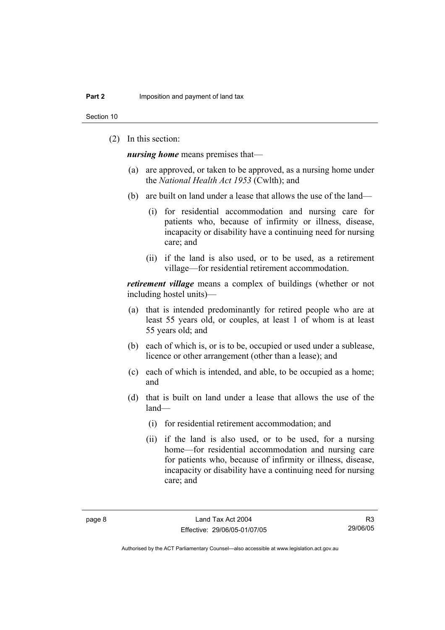Section 10

(2) In this section:

*nursing home* means premises that—

- (a) are approved, or taken to be approved, as a nursing home under the *National Health Act 1953* (Cwlth); and
- (b) are built on land under a lease that allows the use of the land—
	- (i) for residential accommodation and nursing care for patients who, because of infirmity or illness, disease, incapacity or disability have a continuing need for nursing care; and
	- (ii) if the land is also used, or to be used, as a retirement village—for residential retirement accommodation.

*retirement village* means a complex of buildings (whether or not including hostel units)—

- (a) that is intended predominantly for retired people who are at least 55 years old, or couples, at least 1 of whom is at least 55 years old; and
- (b) each of which is, or is to be, occupied or used under a sublease, licence or other arrangement (other than a lease); and
- (c) each of which is intended, and able, to be occupied as a home; and
- (d) that is built on land under a lease that allows the use of the land—
	- (i) for residential retirement accommodation; and
	- (ii) if the land is also used, or to be used, for a nursing home—for residential accommodation and nursing care for patients who, because of infirmity or illness, disease, incapacity or disability have a continuing need for nursing care; and

R3 29/06/05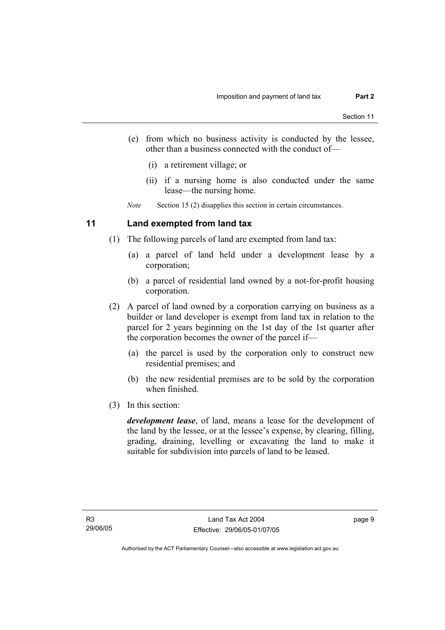- (e) from which no business activity is conducted by the lessee, other than a business connected with the conduct of—
	- (i) a retirement village; or
	- (ii) if a nursing home is also conducted under the same lease—the nursing home.

*Note* Section 15 (2) disapplies this section in certain circumstances.

# **11 Land exempted from land tax**

- (1) The following parcels of land are exempted from land tax:
	- (a) a parcel of land held under a development lease by a corporation;
	- (b) a parcel of residential land owned by a not-for-profit housing corporation.
- (2) A parcel of land owned by a corporation carrying on business as a builder or land developer is exempt from land tax in relation to the parcel for 2 years beginning on the 1st day of the 1st quarter after the corporation becomes the owner of the parcel if—
	- (a) the parcel is used by the corporation only to construct new residential premises; and
	- (b) the new residential premises are to be sold by the corporation when finished.
- (3) In this section:

*development lease*, of land, means a lease for the development of the land by the lessee, or at the lessee's expense, by clearing, filling, grading, draining, levelling or excavating the land to make it suitable for subdivision into parcels of land to be leased.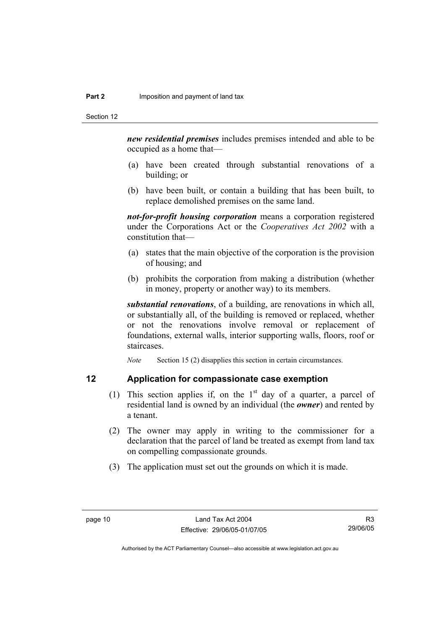*new residential premises* includes premises intended and able to be occupied as a home that—

- (a) have been created through substantial renovations of a building; or
- (b) have been built, or contain a building that has been built, to replace demolished premises on the same land.

*not-for-profit housing corporation* means a corporation registered under the Corporations Act or the *Cooperatives Act 2002* with a constitution that—

- (a) states that the main objective of the corporation is the provision of housing; and
- (b) prohibits the corporation from making a distribution (whether in money, property or another way) to its members.

*substantial renovations*, of a building, are renovations in which all, or substantially all, of the building is removed or replaced, whether or not the renovations involve removal or replacement of foundations, external walls, interior supporting walls, floors, roof or staircases.

*Note* Section 15 (2) disapplies this section in certain circumstances.

## **12 Application for compassionate case exemption**

- (1) This section applies if, on the  $1<sup>st</sup>$  day of a quarter, a parcel of residential land is owned by an individual (the *owner*) and rented by a tenant.
- (2) The owner may apply in writing to the commissioner for a declaration that the parcel of land be treated as exempt from land tax on compelling compassionate grounds.
- (3) The application must set out the grounds on which it is made.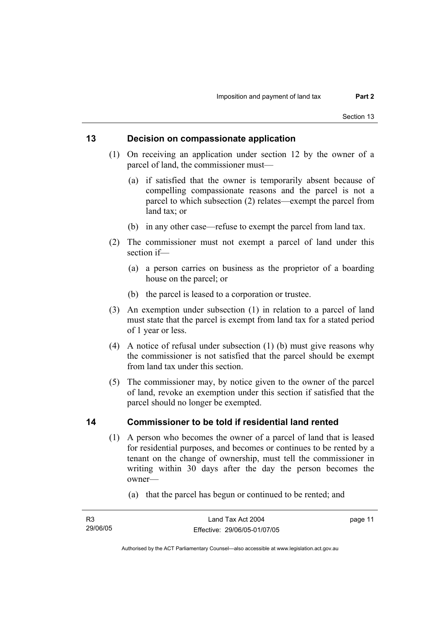# **13 Decision on compassionate application**

- (1) On receiving an application under section 12 by the owner of a parcel of land, the commissioner must—
	- (a) if satisfied that the owner is temporarily absent because of compelling compassionate reasons and the parcel is not a parcel to which subsection (2) relates—exempt the parcel from land tax; or
	- (b) in any other case—refuse to exempt the parcel from land tax.
- (2) The commissioner must not exempt a parcel of land under this section if—
	- (a) a person carries on business as the proprietor of a boarding house on the parcel; or
	- (b) the parcel is leased to a corporation or trustee.
- (3) An exemption under subsection (1) in relation to a parcel of land must state that the parcel is exempt from land tax for a stated period of 1 year or less.
- (4) A notice of refusal under subsection (1) (b) must give reasons why the commissioner is not satisfied that the parcel should be exempt from land tax under this section.
- (5) The commissioner may, by notice given to the owner of the parcel of land, revoke an exemption under this section if satisfied that the parcel should no longer be exempted.

# **14 Commissioner to be told if residential land rented**

- (1) A person who becomes the owner of a parcel of land that is leased for residential purposes, and becomes or continues to be rented by a tenant on the change of ownership, must tell the commissioner in writing within 30 days after the day the person becomes the owner—
	- (a) that the parcel has begun or continued to be rented; and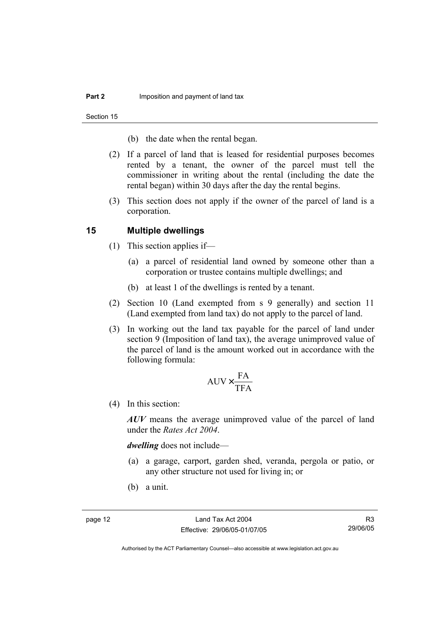Section 15

- (b) the date when the rental began.
- (2) If a parcel of land that is leased for residential purposes becomes rented by a tenant, the owner of the parcel must tell the commissioner in writing about the rental (including the date the rental began) within 30 days after the day the rental begins.
- (3) This section does not apply if the owner of the parcel of land is a corporation.

## **15 Multiple dwellings**

- (1) This section applies if—
	- (a) a parcel of residential land owned by someone other than a corporation or trustee contains multiple dwellings; and
	- (b) at least 1 of the dwellings is rented by a tenant.
- (2) Section 10 (Land exempted from s 9 generally) and section 11 (Land exempted from land tax) do not apply to the parcel of land.
- (3) In working out the land tax payable for the parcel of land under section 9 (Imposition of land tax), the average unimproved value of the parcel of land is the amount worked out in accordance with the following formula:

$$
AUV \times \frac{FA}{TFA}
$$

(4) In this section:

*AUV* means the average unimproved value of the parcel of land under the *Rates Act 2004*.

*dwelling* does not include—

- (a) a garage, carport, garden shed, veranda, pergola or patio, or any other structure not used for living in; or
- (b) a unit.

R3 29/06/05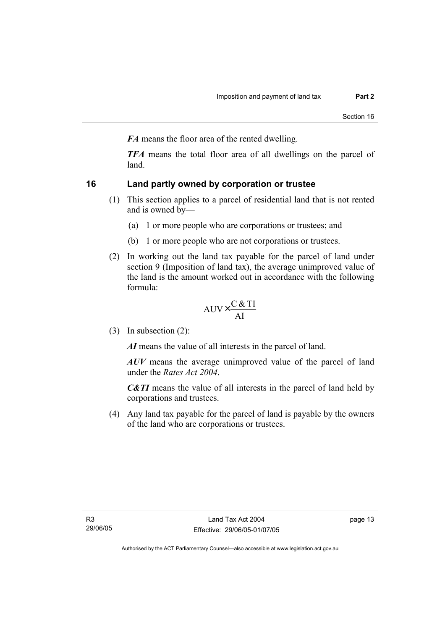*FA* means the floor area of the rented dwelling.

*TFA* means the total floor area of all dwellings on the parcel of land.

# **16 Land partly owned by corporation or trustee**

- (1) This section applies to a parcel of residential land that is not rented and is owned by—
	- (a) 1 or more people who are corporations or trustees; and
	- (b) 1 or more people who are not corporations or trustees.
- (2) In working out the land tax payable for the parcel of land under section 9 (Imposition of land tax), the average unimproved value of the land is the amount worked out in accordance with the following formula:

$$
AUV \times \frac{C & TI}{AI}
$$

(3) In subsection (2):

*AI* means the value of all interests in the parcel of land.

*AUV* means the average unimproved value of the parcel of land under the *Rates Act 2004*.

*C&TI* means the value of all interests in the parcel of land held by corporations and trustees.

 (4) Any land tax payable for the parcel of land is payable by the owners of the land who are corporations or trustees.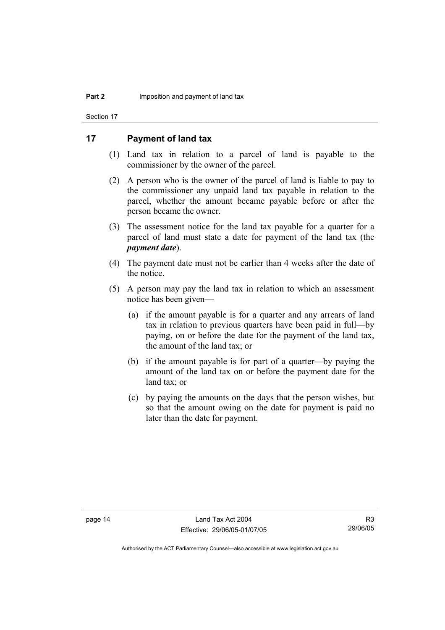Section 17

# **17 Payment of land tax**

- (1) Land tax in relation to a parcel of land is payable to the commissioner by the owner of the parcel.
- (2) A person who is the owner of the parcel of land is liable to pay to the commissioner any unpaid land tax payable in relation to the parcel, whether the amount became payable before or after the person became the owner.
- (3) The assessment notice for the land tax payable for a quarter for a parcel of land must state a date for payment of the land tax (the *payment date*).
- (4) The payment date must not be earlier than 4 weeks after the date of the notice.
- (5) A person may pay the land tax in relation to which an assessment notice has been given—
	- (a) if the amount payable is for a quarter and any arrears of land tax in relation to previous quarters have been paid in full—by paying, on or before the date for the payment of the land tax, the amount of the land tax; or
	- (b) if the amount payable is for part of a quarter—by paying the amount of the land tax on or before the payment date for the land tax; or
	- (c) by paying the amounts on the days that the person wishes, but so that the amount owing on the date for payment is paid no later than the date for payment.

R3 29/06/05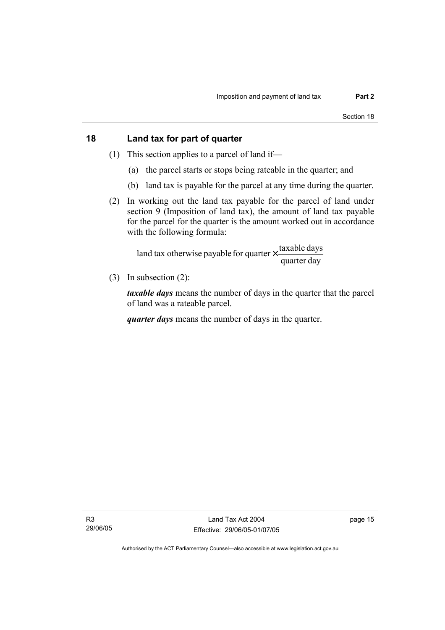# **18 Land tax for part of quarter**

- (1) This section applies to a parcel of land if—
	- (a) the parcel starts or stops being rateable in the quarter; and
	- (b) land tax is payable for the parcel at any time during the quarter.
- (2) In working out the land tax payable for the parcel of land under section 9 (Imposition of land tax), the amount of land tax payable for the parcel for the quarter is the amount worked out in accordance with the following formula:

quarter day land tax otherwise payable for quarter  $\times$  taxable days

(3) In subsection (2):

*taxable days* means the number of days in the quarter that the parcel of land was a rateable parcel.

*quarter days* means the number of days in the quarter.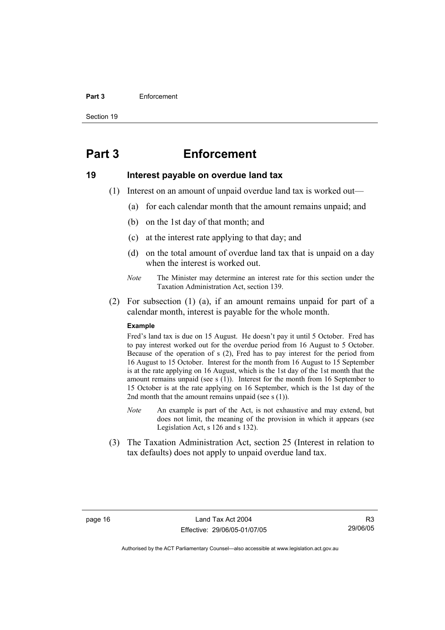#### **Part 3** Enforcement

Section 19

# **Part 3 Enforcement**

#### **19 Interest payable on overdue land tax**

- (1) Interest on an amount of unpaid overdue land tax is worked out—
	- (a) for each calendar month that the amount remains unpaid; and
	- (b) on the 1st day of that month; and
	- (c) at the interest rate applying to that day; and
	- (d) on the total amount of overdue land tax that is unpaid on a day when the interest is worked out.
	- *Note* The Minister may determine an interest rate for this section under the Taxation Administration Act, section 139.
- (2) For subsection (1) (a), if an amount remains unpaid for part of a calendar month, interest is payable for the whole month.

#### **Example**

Fred's land tax is due on 15 August. He doesn't pay it until 5 October. Fred has to pay interest worked out for the overdue period from 16 August to 5 October. Because of the operation of s (2), Fred has to pay interest for the period from 16 August to 15 October. Interest for the month from 16 August to 15 September is at the rate applying on 16 August, which is the 1st day of the 1st month that the amount remains unpaid (see s (1)). Interest for the month from 16 September to 15 October is at the rate applying on 16 September, which is the 1st day of the 2nd month that the amount remains unpaid (see  $s(1)$ ).

- *Note* An example is part of the Act, is not exhaustive and may extend, but does not limit, the meaning of the provision in which it appears (see Legislation Act, s 126 and s 132).
- (3) The Taxation Administration Act, section 25 (Interest in relation to tax defaults) does not apply to unpaid overdue land tax.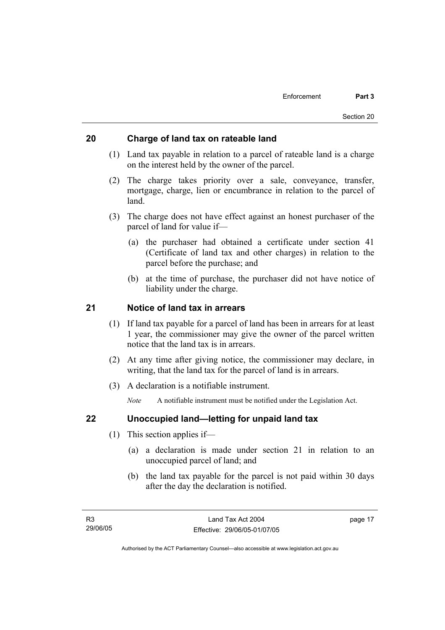# **20 Charge of land tax on rateable land**

- (1) Land tax payable in relation to a parcel of rateable land is a charge on the interest held by the owner of the parcel.
- (2) The charge takes priority over a sale, conveyance, transfer, mortgage, charge, lien or encumbrance in relation to the parcel of land.
- (3) The charge does not have effect against an honest purchaser of the parcel of land for value if—
	- (a) the purchaser had obtained a certificate under section 41 (Certificate of land tax and other charges) in relation to the parcel before the purchase; and
	- (b) at the time of purchase, the purchaser did not have notice of liability under the charge.

# **21 Notice of land tax in arrears**

- (1) If land tax payable for a parcel of land has been in arrears for at least 1 year, the commissioner may give the owner of the parcel written notice that the land tax is in arrears.
- (2) At any time after giving notice, the commissioner may declare, in writing, that the land tax for the parcel of land is in arrears.
- (3) A declaration is a notifiable instrument.

*Note* A notifiable instrument must be notified under the Legislation Act.

# **22 Unoccupied land—letting for unpaid land tax**

- (1) This section applies if—
	- (a) a declaration is made under section 21 in relation to an unoccupied parcel of land; and
	- (b) the land tax payable for the parcel is not paid within 30 days after the day the declaration is notified.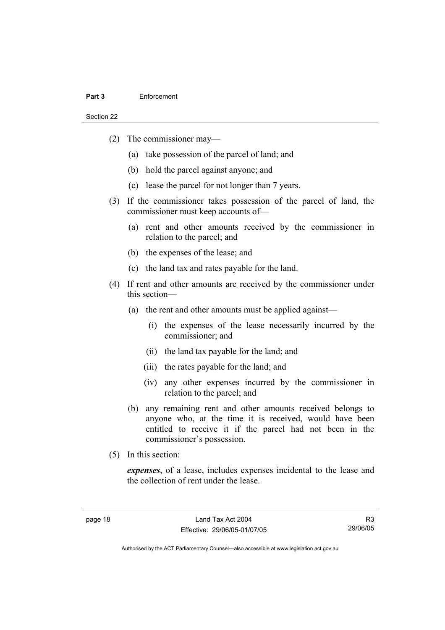#### **Part 3** Enforcement

Section 22

- (2) The commissioner may—
	- (a) take possession of the parcel of land; and
	- (b) hold the parcel against anyone; and
	- (c) lease the parcel for not longer than 7 years.
- (3) If the commissioner takes possession of the parcel of land, the commissioner must keep accounts of—
	- (a) rent and other amounts received by the commissioner in relation to the parcel; and
	- (b) the expenses of the lease; and
	- (c) the land tax and rates payable for the land.
- (4) If rent and other amounts are received by the commissioner under this section—
	- (a) the rent and other amounts must be applied against—
		- (i) the expenses of the lease necessarily incurred by the commissioner; and
		- (ii) the land tax payable for the land; and
		- (iii) the rates payable for the land; and
		- (iv) any other expenses incurred by the commissioner in relation to the parcel; and
	- (b) any remaining rent and other amounts received belongs to anyone who, at the time it is received, would have been entitled to receive it if the parcel had not been in the commissioner's possession.
- (5) In this section:

*expenses*, of a lease, includes expenses incidental to the lease and the collection of rent under the lease.

R3 29/06/05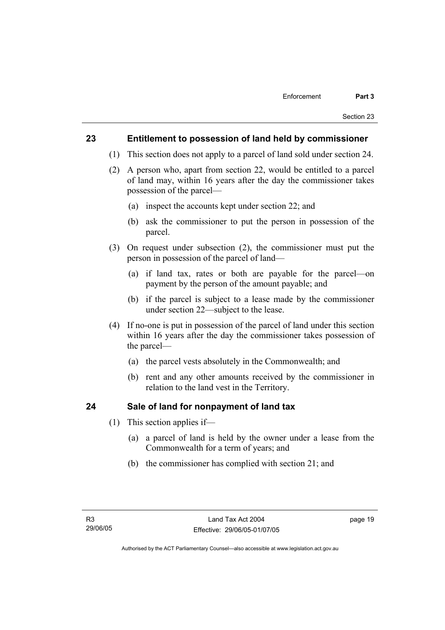# **23 Entitlement to possession of land held by commissioner**

- (1) This section does not apply to a parcel of land sold under section 24.
- (2) A person who, apart from section 22, would be entitled to a parcel of land may, within 16 years after the day the commissioner takes possession of the parcel—
	- (a) inspect the accounts kept under section 22; and
	- (b) ask the commissioner to put the person in possession of the parcel.
- (3) On request under subsection (2), the commissioner must put the person in possession of the parcel of land—
	- (a) if land tax, rates or both are payable for the parcel—on payment by the person of the amount payable; and
	- (b) if the parcel is subject to a lease made by the commissioner under section 22—subject to the lease.
- (4) If no-one is put in possession of the parcel of land under this section within 16 years after the day the commissioner takes possession of the parcel—
	- (a) the parcel vests absolutely in the Commonwealth; and
	- (b) rent and any other amounts received by the commissioner in relation to the land vest in the Territory.

# **24 Sale of land for nonpayment of land tax**

- (1) This section applies if—
	- (a) a parcel of land is held by the owner under a lease from the Commonwealth for a term of years; and
	- (b) the commissioner has complied with section 21; and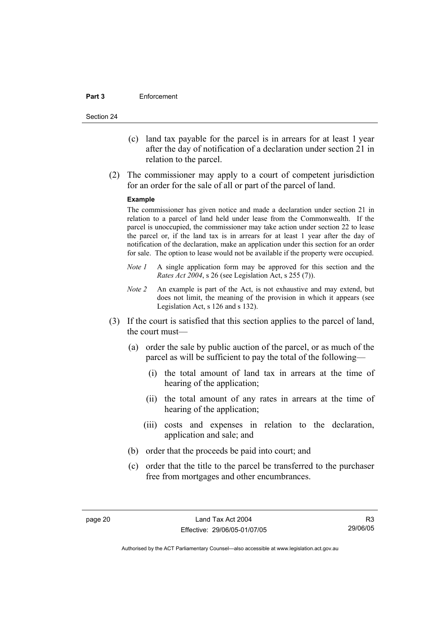#### **Part 3** Enforcement

Section 24

- (c) land tax payable for the parcel is in arrears for at least 1 year after the day of notification of a declaration under section 21 in relation to the parcel.
- (2) The commissioner may apply to a court of competent jurisdiction for an order for the sale of all or part of the parcel of land.

#### **Example**

The commissioner has given notice and made a declaration under section 21 in relation to a parcel of land held under lease from the Commonwealth. If the parcel is unoccupied, the commissioner may take action under section 22 to lease the parcel or, if the land tax is in arrears for at least 1 year after the day of notification of the declaration, make an application under this section for an order for sale. The option to lease would not be available if the property were occupied.

- *Note 1* A single application form may be approved for this section and the *Rates Act 2004*, s 26 (see Legislation Act, s 255 (7)).
- *Note 2* An example is part of the Act, is not exhaustive and may extend, but does not limit, the meaning of the provision in which it appears (see Legislation Act, s 126 and s 132).
- (3) If the court is satisfied that this section applies to the parcel of land, the court must—
	- (a) order the sale by public auction of the parcel, or as much of the parcel as will be sufficient to pay the total of the following—
		- (i) the total amount of land tax in arrears at the time of hearing of the application;
		- (ii) the total amount of any rates in arrears at the time of hearing of the application;
		- (iii) costs and expenses in relation to the declaration, application and sale; and
	- (b) order that the proceeds be paid into court; and
	- (c) order that the title to the parcel be transferred to the purchaser free from mortgages and other encumbrances.

R3 29/06/05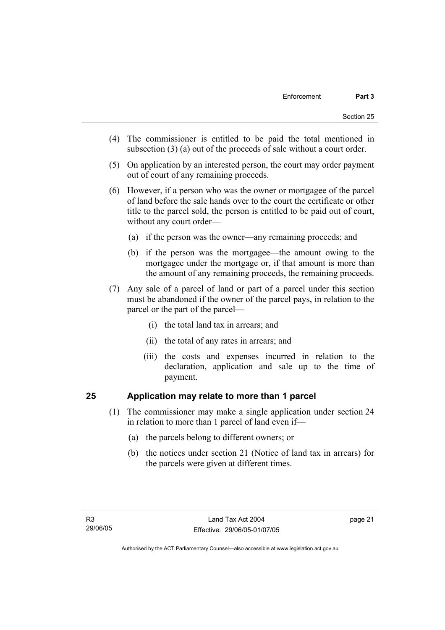- (4) The commissioner is entitled to be paid the total mentioned in subsection (3) (a) out of the proceeds of sale without a court order.
- (5) On application by an interested person, the court may order payment out of court of any remaining proceeds.
- (6) However, if a person who was the owner or mortgagee of the parcel of land before the sale hands over to the court the certificate or other title to the parcel sold, the person is entitled to be paid out of court, without any court order—
	- (a) if the person was the owner—any remaining proceeds; and
	- (b) if the person was the mortgagee—the amount owing to the mortgagee under the mortgage or, if that amount is more than the amount of any remaining proceeds, the remaining proceeds.
- (7) Any sale of a parcel of land or part of a parcel under this section must be abandoned if the owner of the parcel pays, in relation to the parcel or the part of the parcel—
	- (i) the total land tax in arrears; and
	- (ii) the total of any rates in arrears; and
	- (iii) the costs and expenses incurred in relation to the declaration, application and sale up to the time of payment.

# **25 Application may relate to more than 1 parcel**

- (1) The commissioner may make a single application under section 24 in relation to more than 1 parcel of land even if—
	- (a) the parcels belong to different owners; or
	- (b) the notices under section 21 (Notice of land tax in arrears) for the parcels were given at different times.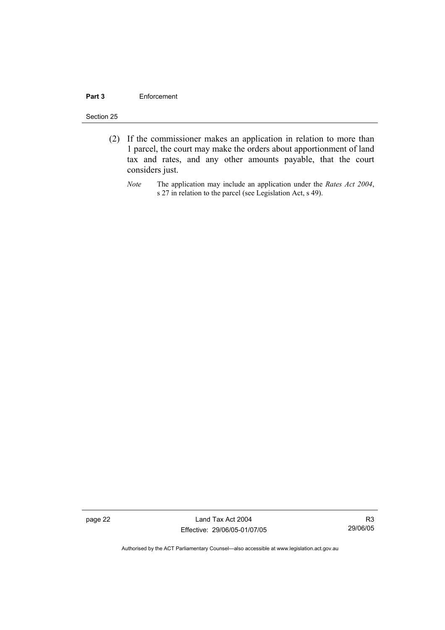#### **Part 3** Enforcement

#### Section 25

- (2) If the commissioner makes an application in relation to more than 1 parcel, the court may make the orders about apportionment of land tax and rates, and any other amounts payable, that the court considers just.
	- *Note* The application may include an application under the *Rates Act 2004*, s 27 in relation to the parcel (see Legislation Act, s 49).

page 22 Land Tax Act 2004 Effective: 29/06/05-01/07/05

R3 29/06/05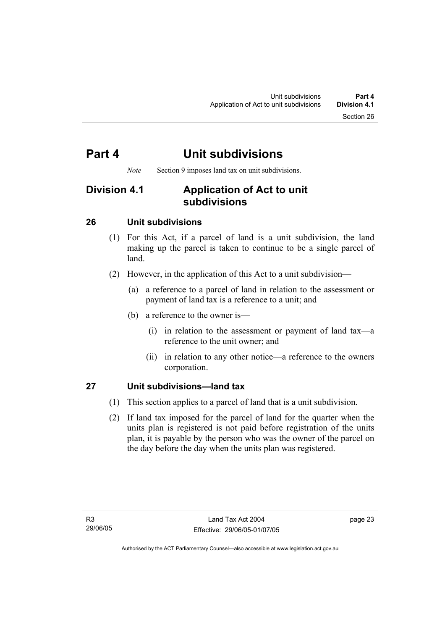# **Part 4 Unit subdivisions**

*Note* Section 9 imposes land tax on unit subdivisions.

# **Division 4.1 Application of Act to unit subdivisions**

# **26 Unit subdivisions**

- (1) For this Act, if a parcel of land is a unit subdivision, the land making up the parcel is taken to continue to be a single parcel of land.
- (2) However, in the application of this Act to a unit subdivision—
	- (a) a reference to a parcel of land in relation to the assessment or payment of land tax is a reference to a unit; and
	- (b) a reference to the owner is—
		- (i) in relation to the assessment or payment of land tax—a reference to the unit owner; and
		- (ii) in relation to any other notice—a reference to the owners corporation.

# **27 Unit subdivisions—land tax**

- (1) This section applies to a parcel of land that is a unit subdivision.
- (2) If land tax imposed for the parcel of land for the quarter when the units plan is registered is not paid before registration of the units plan, it is payable by the person who was the owner of the parcel on the day before the day when the units plan was registered.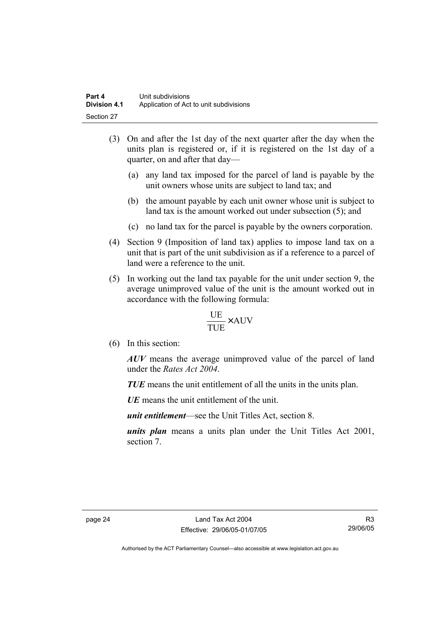- (3) On and after the 1st day of the next quarter after the day when the units plan is registered or, if it is registered on the 1st day of a quarter, on and after that day—
	- (a) any land tax imposed for the parcel of land is payable by the unit owners whose units are subject to land tax; and
	- (b) the amount payable by each unit owner whose unit is subject to land tax is the amount worked out under subsection (5); and
	- (c) no land tax for the parcel is payable by the owners corporation.
- (4) Section 9 (Imposition of land tax) applies to impose land tax on a unit that is part of the unit subdivision as if a reference to a parcel of land were a reference to the unit.
- (5) In working out the land tax payable for the unit under section 9, the average unimproved value of the unit is the amount worked out in accordance with the following formula:

$$
\frac{\text{UE}}{\text{TUE}} \times \text{AUV}
$$

(6) In this section:

*AUV* means the average unimproved value of the parcel of land under the *Rates Act 2004*.

*TUE* means the unit entitlement of all the units in the units plan.

*UE*means the unit entitlement of the unit.

*unit entitlement*—see the Unit Titles Act, section 8.

*units plan* means a units plan under the Unit Titles Act 2001, section 7.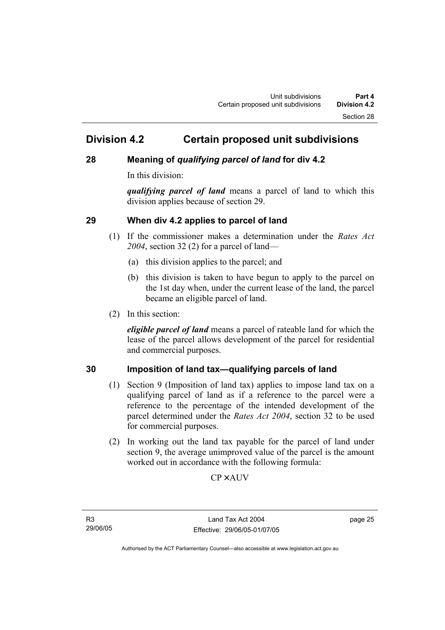# **Division 4.2 Certain proposed unit subdivisions**

# **28 Meaning of** *qualifying parcel of land* **for div 4.2**

In this division:

*qualifying parcel of land* means a parcel of land to which this division applies because of section 29.

# **29 When div 4.2 applies to parcel of land**

- (1) If the commissioner makes a determination under the *Rates Act 2004*, section 32 (2) for a parcel of land—
	- (a) this division applies to the parcel; and
	- (b) this division is taken to have begun to apply to the parcel on the 1st day when, under the current lease of the land, the parcel became an eligible parcel of land.
- (2) In this section:

*eligible parcel of land* means a parcel of rateable land for which the lease of the parcel allows development of the parcel for residential and commercial purposes.

# **30 Imposition of land tax—qualifying parcels of land**

- (1) Section 9 (Imposition of land tax) applies to impose land tax on a qualifying parcel of land as if a reference to the parcel were a reference to the percentage of the intended development of the parcel determined under the *Rates Act 2004*, section 32 to be used for commercial purposes.
- (2) In working out the land tax payable for the parcel of land under section 9, the average unimproved value of the parcel is the amount worked out in accordance with the following formula:

**CP×AUV** 

R3 29/06/05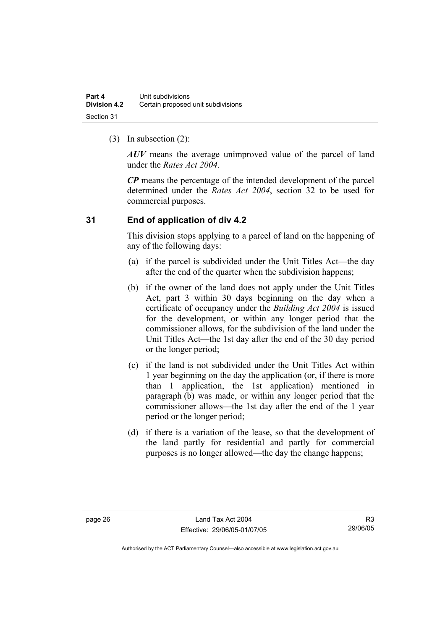(3) In subsection (2):

*AUV* means the average unimproved value of the parcel of land under the *Rates Act 2004*.

*CP* means the percentage of the intended development of the parcel determined under the *Rates Act 2004*, section 32 to be used for commercial purposes.

# **31 End of application of div 4.2**

This division stops applying to a parcel of land on the happening of any of the following days:

- (a) if the parcel is subdivided under the Unit Titles Act—the day after the end of the quarter when the subdivision happens;
- (b) if the owner of the land does not apply under the Unit Titles Act, part 3 within 30 days beginning on the day when a certificate of occupancy under the *Building Act 2004* is issued for the development, or within any longer period that the commissioner allows, for the subdivision of the land under the Unit Titles Act—the 1st day after the end of the 30 day period or the longer period;
- (c) if the land is not subdivided under the Unit Titles Act within 1 year beginning on the day the application (or, if there is more than 1 application, the 1st application) mentioned in paragraph (b) was made, or within any longer period that the commissioner allows—the 1st day after the end of the 1 year period or the longer period;
- (d) if there is a variation of the lease, so that the development of the land partly for residential and partly for commercial purposes is no longer allowed—the day the change happens;

R3 29/06/05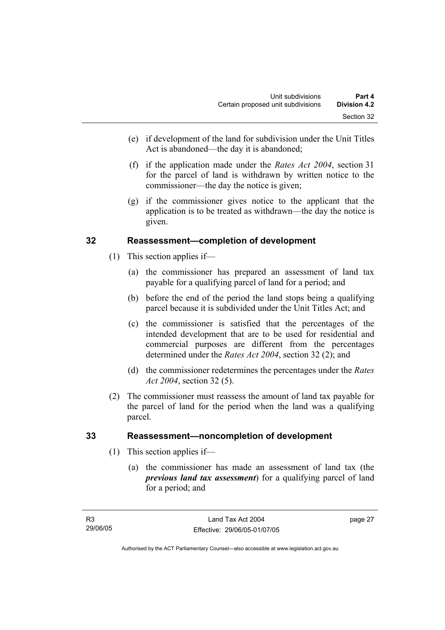- (e) if development of the land for subdivision under the Unit Titles Act is abandoned—the day it is abandoned;
- (f) if the application made under the *Rates Act 2004*, section 31 for the parcel of land is withdrawn by written notice to the commissioner—the day the notice is given;
- (g) if the commissioner gives notice to the applicant that the application is to be treated as withdrawn—the day the notice is given.

# **32 Reassessment—completion of development**

- (1) This section applies if—
	- (a) the commissioner has prepared an assessment of land tax payable for a qualifying parcel of land for a period; and
	- (b) before the end of the period the land stops being a qualifying parcel because it is subdivided under the Unit Titles Act; and
	- (c) the commissioner is satisfied that the percentages of the intended development that are to be used for residential and commercial purposes are different from the percentages determined under the *Rates Act 2004*, section 32 (2); and
	- (d) the commissioner redetermines the percentages under the *Rates Act 2004*, section 32 (5).
- (2) The commissioner must reassess the amount of land tax payable for the parcel of land for the period when the land was a qualifying parcel.

# **33 Reassessment—noncompletion of development**

- (1) This section applies if—
	- (a) the commissioner has made an assessment of land tax (the *previous land tax assessment*) for a qualifying parcel of land for a period; and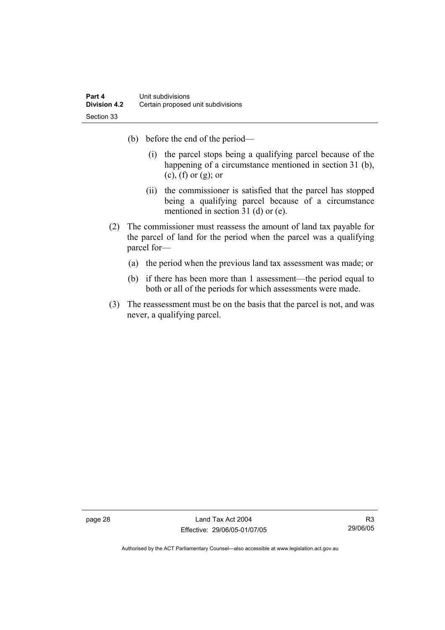- (b) before the end of the period—
	- (i) the parcel stops being a qualifying parcel because of the happening of a circumstance mentioned in section 31 (b),  $(c)$ ,  $(f)$  or  $(g)$ ; or
	- (ii) the commissioner is satisfied that the parcel has stopped being a qualifying parcel because of a circumstance mentioned in section 31 (d) or (e).
- (2) The commissioner must reassess the amount of land tax payable for the parcel of land for the period when the parcel was a qualifying parcel for—
	- (a) the period when the previous land tax assessment was made; or
	- (b) if there has been more than 1 assessment—the period equal to both or all of the periods for which assessments were made.
- (3) The reassessment must be on the basis that the parcel is not, and was never, a qualifying parcel.

page 28 Land Tax Act 2004 Effective: 29/06/05-01/07/05

R3 29/06/05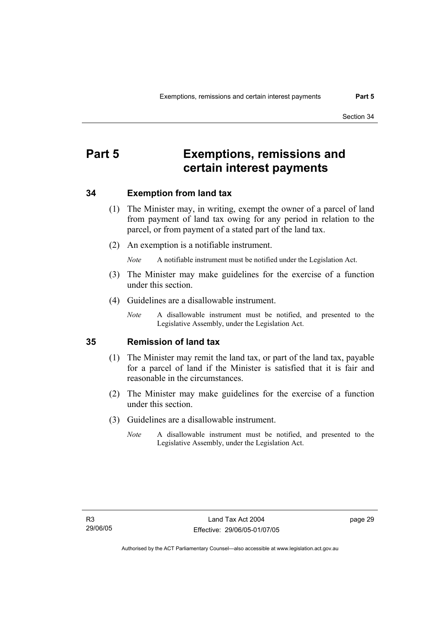# **Part 5 Exemptions, remissions and certain interest payments**

# **34 Exemption from land tax**

- (1) The Minister may, in writing, exempt the owner of a parcel of land from payment of land tax owing for any period in relation to the parcel, or from payment of a stated part of the land tax.
- (2) An exemption is a notifiable instrument.

*Note* A notifiable instrument must be notified under the Legislation Act.

- (3) The Minister may make guidelines for the exercise of a function under this section.
- (4) Guidelines are a disallowable instrument.
	- *Note* A disallowable instrument must be notified, and presented to the Legislative Assembly, under the Legislation Act.

# **35 Remission of land tax**

- (1) The Minister may remit the land tax, or part of the land tax, payable for a parcel of land if the Minister is satisfied that it is fair and reasonable in the circumstances.
- (2) The Minister may make guidelines for the exercise of a function under this section.
- (3) Guidelines are a disallowable instrument.
	- *Note* A disallowable instrument must be notified, and presented to the Legislative Assembly, under the Legislation Act.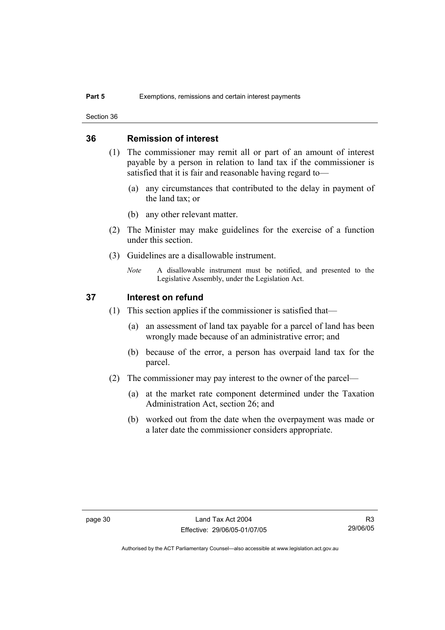Section 36

# **36 Remission of interest**

- (1) The commissioner may remit all or part of an amount of interest payable by a person in relation to land tax if the commissioner is satisfied that it is fair and reasonable having regard to—
	- (a) any circumstances that contributed to the delay in payment of the land tax; or
	- (b) any other relevant matter.
- (2) The Minister may make guidelines for the exercise of a function under this section.
- (3) Guidelines are a disallowable instrument.
	- *Note* A disallowable instrument must be notified, and presented to the Legislative Assembly, under the Legislation Act.

## **37 Interest on refund**

- (1) This section applies if the commissioner is satisfied that—
	- (a) an assessment of land tax payable for a parcel of land has been wrongly made because of an administrative error; and
	- (b) because of the error, a person has overpaid land tax for the parcel.
- (2) The commissioner may pay interest to the owner of the parcel—
	- (a) at the market rate component determined under the Taxation Administration Act, section 26; and
	- (b) worked out from the date when the overpayment was made or a later date the commissioner considers appropriate.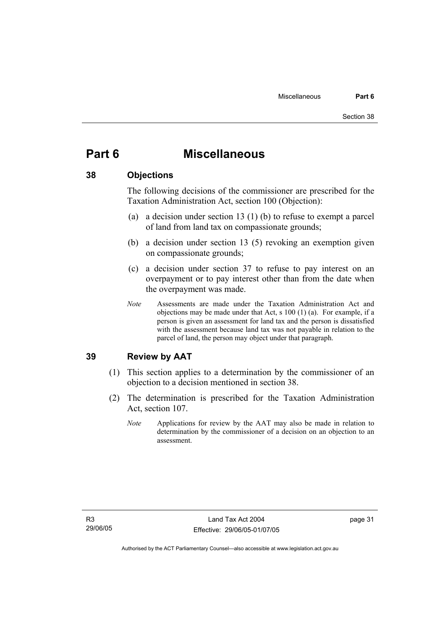# **Part 6 Miscellaneous**

## **38 Objections**

The following decisions of the commissioner are prescribed for the Taxation Administration Act, section 100 (Objection):

- (a) a decision under section 13 (1) (b) to refuse to exempt a parcel of land from land tax on compassionate grounds;
- (b) a decision under section 13 (5) revoking an exemption given on compassionate grounds;
- (c) a decision under section 37 to refuse to pay interest on an overpayment or to pay interest other than from the date when the overpayment was made.
- *Note* Assessments are made under the Taxation Administration Act and objections may be made under that Act, s 100 (1) (a). For example, if a person is given an assessment for land tax and the person is dissatisfied with the assessment because land tax was not payable in relation to the parcel of land, the person may object under that paragraph.

# **39 Review by AAT**

- (1) This section applies to a determination by the commissioner of an objection to a decision mentioned in section 38.
- (2) The determination is prescribed for the Taxation Administration Act, section 107.
	- *Note* Applications for review by the AAT may also be made in relation to determination by the commissioner of a decision on an objection to an assessment.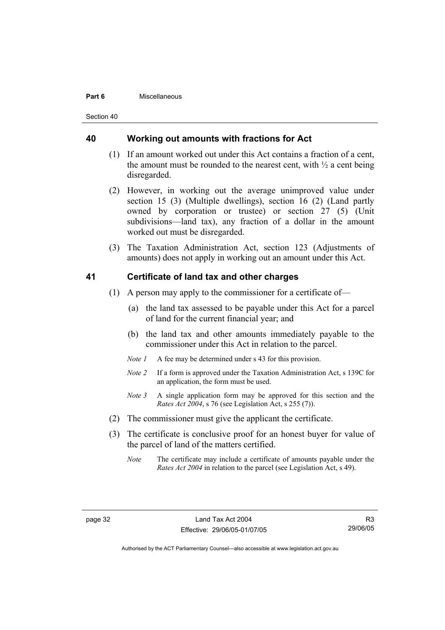#### **Part 6** Miscellaneous

Section 40

### **40 Working out amounts with fractions for Act**

- (1) If an amount worked out under this Act contains a fraction of a cent, the amount must be rounded to the nearest cent, with  $\frac{1}{2}$  a cent being disregarded.
- (2) However, in working out the average unimproved value under section 15 (3) (Multiple dwellings), section 16 (2) (Land partly owned by corporation or trustee) or section 27 (5) (Unit subdivisions—land tax), any fraction of a dollar in the amount worked out must be disregarded.
- (3) The Taxation Administration Act, section 123 (Adjustments of amounts) does not apply in working out an amount under this Act.

## **41 Certificate of land tax and other charges**

- (1) A person may apply to the commissioner for a certificate of—
	- (a) the land tax assessed to be payable under this Act for a parcel of land for the current financial year; and
	- (b) the land tax and other amounts immediately payable to the commissioner under this Act in relation to the parcel.
	- *Note 1* A fee may be determined under s 43 for this provision.
	- *Note 2* If a form is approved under the Taxation Administration Act, s 139C for an application, the form must be used.
	- *Note 3* A single application form may be approved for this section and the *Rates Act 2004*, s 76 (see Legislation Act, s 255 (7)).
- (2) The commissioner must give the applicant the certificate.
- (3) The certificate is conclusive proof for an honest buyer for value of the parcel of land of the matters certified.
	- *Note* The certificate may include a certificate of amounts payable under the *Rates Act 2004* in relation to the parcel (see Legislation Act, s 49).

R3 29/06/05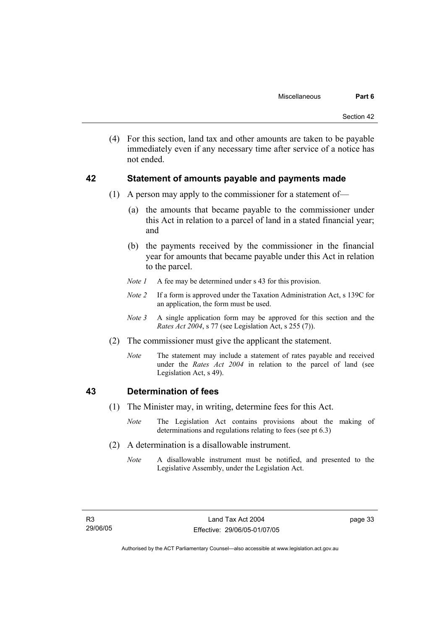(4) For this section, land tax and other amounts are taken to be payable immediately even if any necessary time after service of a notice has not ended.

## **42 Statement of amounts payable and payments made**

- (1) A person may apply to the commissioner for a statement of—
	- (a) the amounts that became payable to the commissioner under this Act in relation to a parcel of land in a stated financial year; and
	- (b) the payments received by the commissioner in the financial year for amounts that became payable under this Act in relation to the parcel.
	- *Note 1* A fee may be determined under s 43 for this provision.
	- *Note 2* If a form is approved under the Taxation Administration Act, s 139C for an application, the form must be used.
	- *Note 3* A single application form may be approved for this section and the *Rates Act 2004*, s 77 (see Legislation Act, s 255 (7)).
- (2) The commissioner must give the applicant the statement.
	- *Note* The statement may include a statement of rates payable and received under the *Rates Act 2004* in relation to the parcel of land (see Legislation Act, s 49).

# **43 Determination of fees**

- (1) The Minister may, in writing, determine fees for this Act.
	- *Note* The Legislation Act contains provisions about the making of determinations and regulations relating to fees (see pt 6.3)
- (2) A determination is a disallowable instrument.
	- *Note* A disallowable instrument must be notified, and presented to the Legislative Assembly, under the Legislation Act.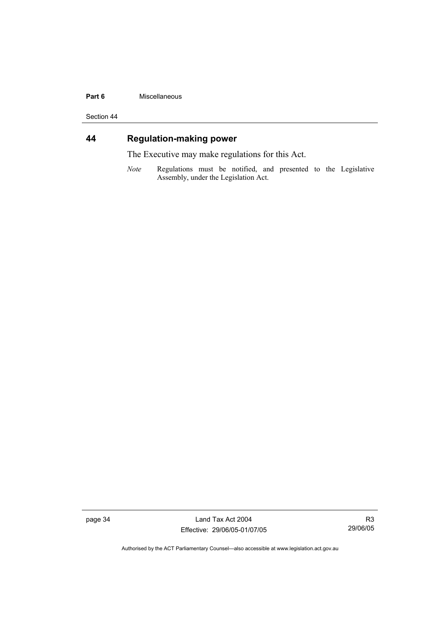#### **Part 6** Miscellaneous

Section 44

# **44 Regulation-making power**

The Executive may make regulations for this Act.

*Note* Regulations must be notified, and presented to the Legislative Assembly, under the Legislation Act.

page 34 Land Tax Act 2004 Effective: 29/06/05-01/07/05

R3 29/06/05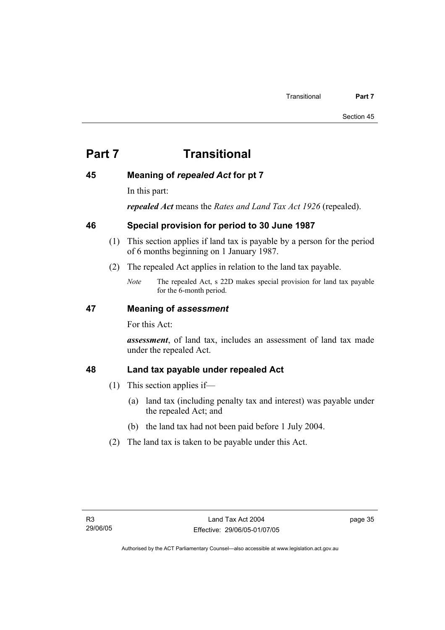# **Part 7 Transitional**

# **45 Meaning of** *repealed Act* **for pt 7**

In this part:

*repealed Act* means the *Rates and Land Tax Act 1926* (repealed).

# **46 Special provision for period to 30 June 1987**

- (1) This section applies if land tax is payable by a person for the period of 6 months beginning on 1 January 1987.
- (2) The repealed Act applies in relation to the land tax payable.
	- *Note* The repealed Act, s 22D makes special provision for land tax payable for the 6-month period.

# **47 Meaning of** *assessment*

For this Act:

*assessment*, of land tax, includes an assessment of land tax made under the repealed Act.

# **48 Land tax payable under repealed Act**

- (1) This section applies if—
	- (a) land tax (including penalty tax and interest) was payable under the repealed Act; and
	- (b) the land tax had not been paid before 1 July 2004.
- (2) The land tax is taken to be payable under this Act.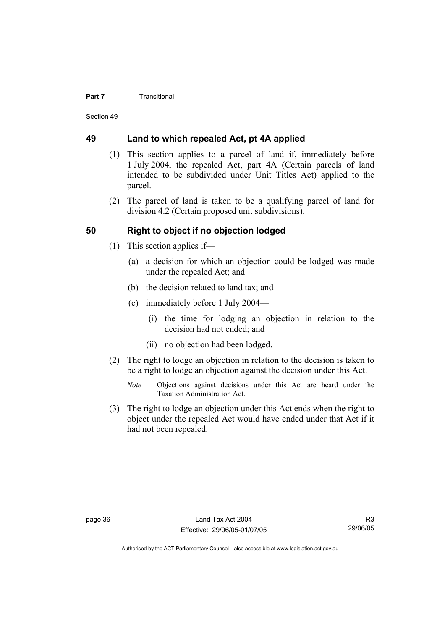#### **Part 7 Transitional**

Section 49

## **49 Land to which repealed Act, pt 4A applied**

- (1) This section applies to a parcel of land if, immediately before 1 July 2004, the repealed Act, part 4A (Certain parcels of land intended to be subdivided under Unit Titles Act) applied to the parcel.
- (2) The parcel of land is taken to be a qualifying parcel of land for division 4.2 (Certain proposed unit subdivisions).

# **50 Right to object if no objection lodged**

- (1) This section applies if—
	- (a) a decision for which an objection could be lodged was made under the repealed Act; and
	- (b) the decision related to land tax; and
	- (c) immediately before 1 July 2004—
		- (i) the time for lodging an objection in relation to the decision had not ended; and
		- (ii) no objection had been lodged.
- (2) The right to lodge an objection in relation to the decision is taken to be a right to lodge an objection against the decision under this Act.
	- *Note* Objections against decisions under this Act are heard under the Taxation Administration Act.
- (3) The right to lodge an objection under this Act ends when the right to object under the repealed Act would have ended under that Act if it had not been repealed.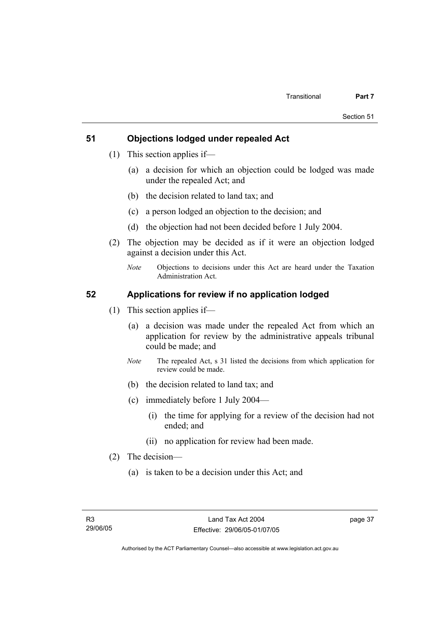# **51 Objections lodged under repealed Act**

- (1) This section applies if—
	- (a) a decision for which an objection could be lodged was made under the repealed Act; and
	- (b) the decision related to land tax; and
	- (c) a person lodged an objection to the decision; and
	- (d) the objection had not been decided before 1 July 2004.
- (2) The objection may be decided as if it were an objection lodged against a decision under this Act.
	- *Note* Objections to decisions under this Act are heard under the Taxation Administration Act.

# **52 Applications for review if no application lodged**

- (1) This section applies if—
	- (a) a decision was made under the repealed Act from which an application for review by the administrative appeals tribunal could be made; and
	- *Note* The repealed Act, s 31 listed the decisions from which application for review could be made.
	- (b) the decision related to land tax; and
	- (c) immediately before 1 July 2004—
		- (i) the time for applying for a review of the decision had not ended; and
		- (ii) no application for review had been made.
- (2) The decision—
	- (a) is taken to be a decision under this Act; and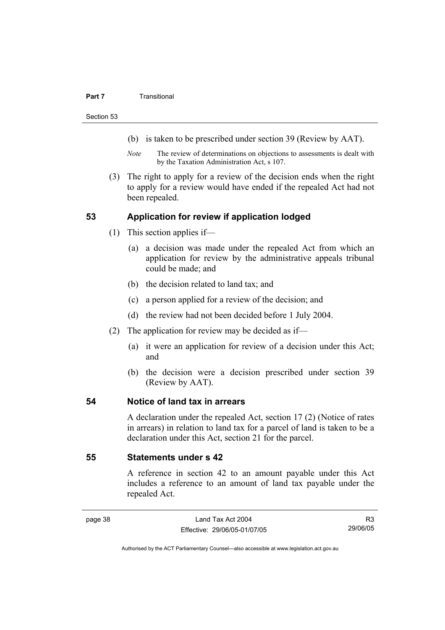#### **Part 7 Transitional**

Section 53

- (b) is taken to be prescribed under section 39 (Review by AAT).
- *Note* The review of determinations on objections to assessments is dealt with by the Taxation Administration Act, s 107.
- (3) The right to apply for a review of the decision ends when the right to apply for a review would have ended if the repealed Act had not been repealed.

## **53 Application for review if application lodged**

- (1) This section applies if—
	- (a) a decision was made under the repealed Act from which an application for review by the administrative appeals tribunal could be made; and
	- (b) the decision related to land tax; and
	- (c) a person applied for a review of the decision; and
	- (d) the review had not been decided before 1 July 2004.
- (2) The application for review may be decided as if—
	- (a) it were an application for review of a decision under this Act; and
	- (b) the decision were a decision prescribed under section 39 (Review by AAT).

# **54 Notice of land tax in arrears**

A declaration under the repealed Act, section 17 (2) (Notice of rates in arrears) in relation to land tax for a parcel of land is taken to be a declaration under this Act, section 21 for the parcel.

# **55 Statements under s 42**

A reference in section 42 to an amount payable under this Act includes a reference to an amount of land tax payable under the repealed Act.

R3 29/06/05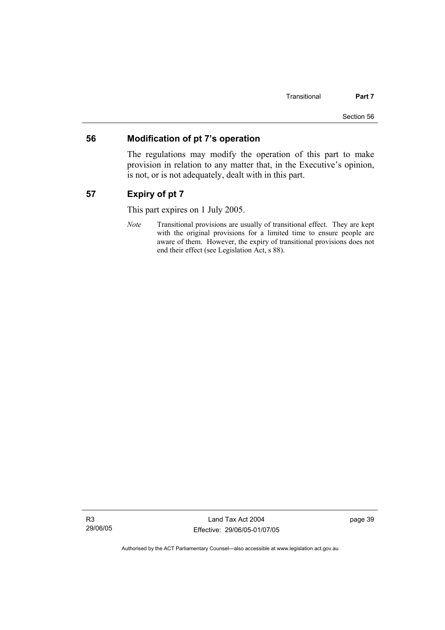## **56 Modification of pt 7's operation**

The regulations may modify the operation of this part to make provision in relation to any matter that, in the Executive's opinion, is not, or is not adequately, dealt with in this part.

# **57 Expiry of pt 7**

This part expires on 1 July 2005.

*Note* Transitional provisions are usually of transitional effect. They are kept with the original provisions for a limited time to ensure people are aware of them. However, the expiry of transitional provisions does not end their effect (see Legislation Act, s 88).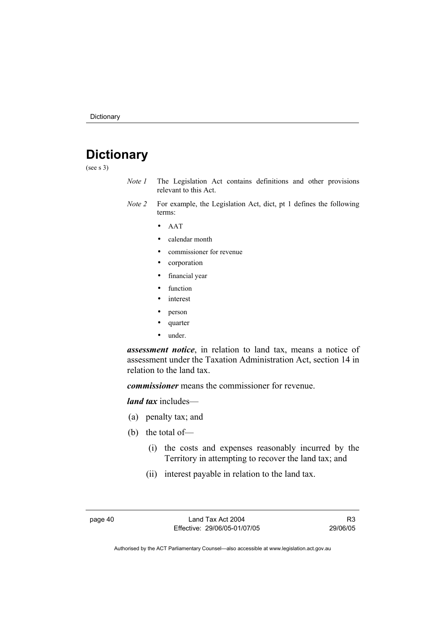# **Dictionary**

(see s 3)

- *Note 1* The Legislation Act contains definitions and other provisions relevant to this Act.
- *Note 2* For example, the Legislation Act, dict, pt 1 defines the following terms:
	- AAT
	- calendar month
	- commissioner for revenue
	- corporation
	- financial year
	- function
	- *interest*
	- person
	- quarter
	- under.

*assessment notice*, in relation to land tax, means a notice of assessment under the Taxation Administration Act, section 14 in relation to the land tax.

*commissioner* means the commissioner for revenue.

*land tax* includes—

- (a) penalty tax; and
- (b) the total of—
	- (i) the costs and expenses reasonably incurred by the Territory in attempting to recover the land tax; and
	- (ii) interest payable in relation to the land tax.

page 40 Land Tax Act 2004 Effective: 29/06/05-01/07/05

R3 29/06/05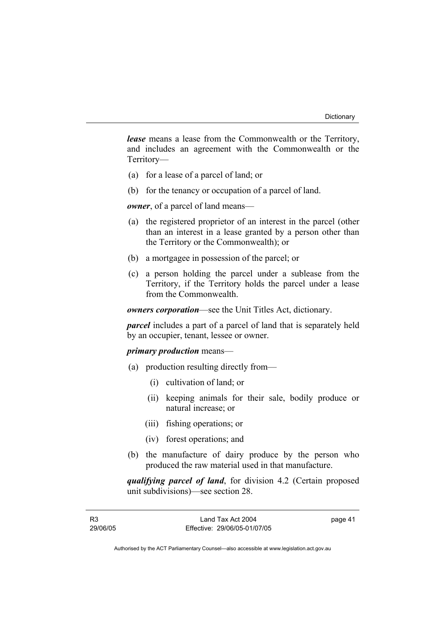*lease* means a lease from the Commonwealth or the Territory, and includes an agreement with the Commonwealth or the Territory—

- (a) for a lease of a parcel of land; or
- (b) for the tenancy or occupation of a parcel of land.

*owner*, of a parcel of land means—

- (a) the registered proprietor of an interest in the parcel (other than an interest in a lease granted by a person other than the Territory or the Commonwealth); or
- (b) a mortgagee in possession of the parcel; or
- (c) a person holding the parcel under a sublease from the Territory, if the Territory holds the parcel under a lease from the Commonwealth.

*owners corporation*—see the Unit Titles Act, dictionary.

*parcel* includes a part of a parcel of land that is separately held by an occupier, tenant, lessee or owner.

## *primary production* means—

- (a) production resulting directly from—
	- (i) cultivation of land; or
	- (ii) keeping animals for their sale, bodily produce or natural increase; or
	- (iii) fishing operations; or
	- (iv) forest operations; and
- (b) the manufacture of dairy produce by the person who produced the raw material used in that manufacture.

*qualifying parcel of land*, for division 4.2 (Certain proposed unit subdivisions)—see section 28.

page 41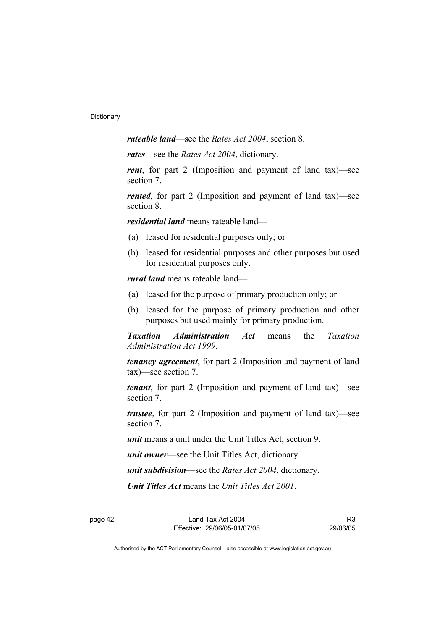*rateable land*—see the *Rates Act 2004*, section 8.

*rates*—see the *Rates Act 2004*, dictionary.

*rent*, for part 2 (Imposition and payment of land tax)—see section 7.

*rented*, for part 2 (Imposition and payment of land tax)—see section 8.

*residential land* means rateable land—

- (a) leased for residential purposes only; or
- (b) leased for residential purposes and other purposes but used for residential purposes only.

*rural land* means rateable land—

- (a) leased for the purpose of primary production only; or
- (b) leased for the purpose of primary production and other purposes but used mainly for primary production.

*Taxation Administration Act* means the *Taxation Administration Act 1999*.

*tenancy agreement*, for part 2 (Imposition and payment of land tax)—see section 7.

*tenant*, for part 2 (Imposition and payment of land tax)—see section 7.

*trustee*, for part 2 (Imposition and payment of land tax)—see section 7.

*unit* means a unit under the Unit Titles Act, section 9.

*unit owner*—see the Unit Titles Act, dictionary.

*unit subdivision*—see the *Rates Act 2004*, dictionary.

*Unit Titles Act* means the *Unit Titles Act 2001*.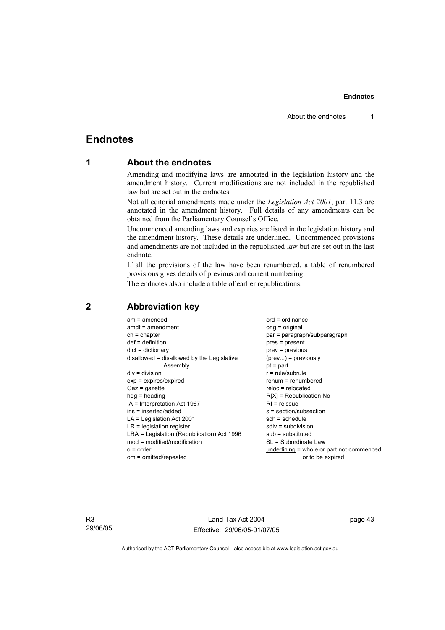# **Endnotes**

# **1 About the endnotes**

Amending and modifying laws are annotated in the legislation history and the amendment history. Current modifications are not included in the republished law but are set out in the endnotes.

Not all editorial amendments made under the *Legislation Act 2001*, part 11.3 are annotated in the amendment history. Full details of any amendments can be obtained from the Parliamentary Counsel's Office.

Uncommenced amending laws and expiries are listed in the legislation history and the amendment history. These details are underlined. Uncommenced provisions and amendments are not included in the republished law but are set out in the last endnote.

If all the provisions of the law have been renumbered, a table of renumbered provisions gives details of previous and current numbering.

The endnotes also include a table of earlier republications.

| $am = amended$                             | $ord = ordinance$                         |
|--------------------------------------------|-------------------------------------------|
| $amdt = amendment$                         | orig = original                           |
| $ch = chapter$                             | par = paragraph/subparagraph              |
| $def = definition$                         | $pres = present$                          |
| $dict = dictionary$                        | $prev = previous$                         |
| disallowed = disallowed by the Legislative | $(\text{prev}) = \text{previously}$       |
| Assembly                                   | $pt = part$                               |
| $div = division$                           | $r = rule/subrule$                        |
| $exp = expires/expired$                    | $renum = renumbered$                      |
| $Gaz = gazette$                            | $reloc = relocated$                       |
| $hda =$ heading                            | $R[X]$ = Republication No                 |
| IA = Interpretation Act 1967               | $RI =$ reissue                            |
| ins = inserted/added                       | $s = section/subsection$                  |
| $LA =$ Legislation Act 2001                | $sch = schedule$                          |
| $LR =$ legislation register                | $sdiv = subdivision$                      |
| LRA = Legislation (Republication) Act 1996 | $sub =$ substituted                       |
| $mod = modified/modification$              | SL = Subordinate Law                      |
| $o = order$                                | underlining = whole or part not commenced |
| om = omitted/repealed                      | or to be expired                          |
|                                            |                                           |

### **2 Abbreviation key**

R3 29/06/05

Land Tax Act 2004 Effective: 29/06/05-01/07/05 page 43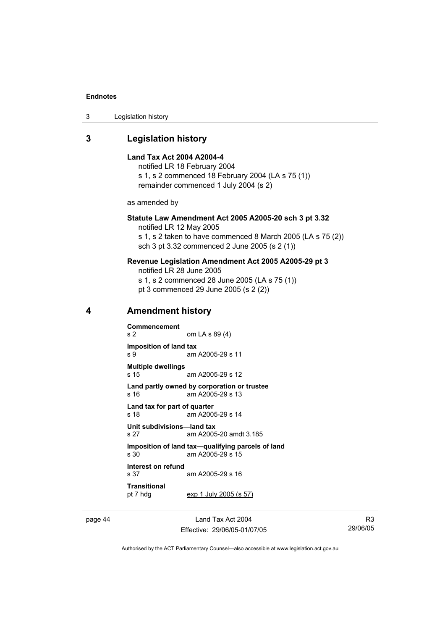| 3 | Legislation history |  |
|---|---------------------|--|
|---|---------------------|--|

# **3 Legislation history**

|   | Land Tax Act 2004 A2004-4                     | notified LR 18 February 2004<br>s 1, s 2 commenced 18 February 2004 (LA s 75 (1))<br>remainder commenced 1 July 2004 (s 2)                                            |  |
|---|-----------------------------------------------|-----------------------------------------------------------------------------------------------------------------------------------------------------------------------|--|
|   | as amended by                                 |                                                                                                                                                                       |  |
|   | notified LR 12 May 2005                       | Statute Law Amendment Act 2005 A2005-20 sch 3 pt 3.32<br>s 1, s 2 taken to have commenced 8 March 2005 (LA s 75 (2))<br>sch 3 pt 3.32 commenced 2 June 2005 (s 2 (1)) |  |
|   | notified LR 28 June 2005                      | Revenue Legislation Amendment Act 2005 A2005-29 pt 3<br>s 1, s 2 commenced 28 June 2005 (LA s 75 (1))<br>pt 3 commenced 29 June 2005 (s 2 (2))                        |  |
| 4 | <b>Amendment history</b>                      |                                                                                                                                                                       |  |
|   | <b>Commencement</b><br>s <sub>2</sub>         | om LA s 89 (4)                                                                                                                                                        |  |
|   | Imposition of land tax<br>s 9                 | am A2005-29 s 11                                                                                                                                                      |  |
|   | <b>Multiple dwellings</b><br>s 15             | am A2005-29 s 12                                                                                                                                                      |  |
|   | s 16                                          | Land partly owned by corporation or trustee<br>am A2005-29 s 13                                                                                                       |  |
|   | Land tax for part of quarter<br>s 18          | am A2005-29 s 14                                                                                                                                                      |  |
|   | Unit subdivisions-land tax<br>s <sub>27</sub> | am A2005-20 amdt 3.185                                                                                                                                                |  |
|   | s 30                                          | Imposition of land tax-qualifying parcels of land<br>am A2005-29 s 15                                                                                                 |  |
|   | Interest on refund<br>s 37                    | am A2005-29 s 16                                                                                                                                                      |  |
|   | Transitional<br>pt 7 hdg                      | exp 1 July 2005 (s 57)                                                                                                                                                |  |
|   |                                               |                                                                                                                                                                       |  |

page 44 Land Tax Act 2004 Effective: 29/06/05-01/07/05

R3 29/06/05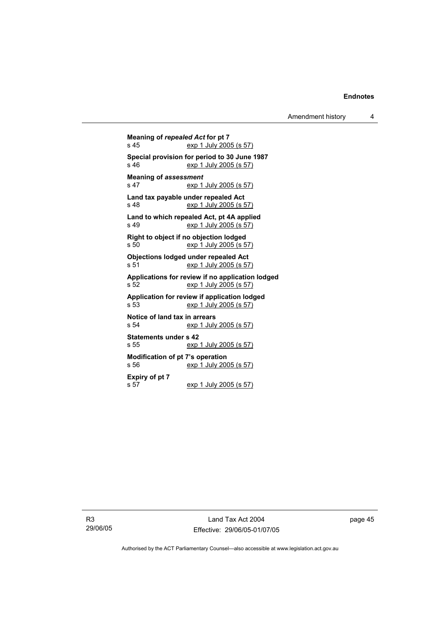**Meaning of** *repealed Act* **for pt 7**  exp 1 July 2005 (s 57) **Special provision for period to 30 June 1987**  s 46 exp 1 July 2005 (s 57) **Meaning of** *assessment*<br>s 47 exp 1 exp 1 July 2005 (s 57) **Land tax payable under repealed Act**  s 48 exp 1 July 2005 (s 57) **Land to which repealed Act, pt 4A applied**  exp 1 July 2005 (s 57) **Right to object if no objection lodged**  s 50 exp 1 July 2005 (s 57) **Objections lodged under repealed Act**  s 51 exp 1 July 2005 (s 57) **Applications for review if no application lodged**  s 52 exp 1 July 2005 (s 57) **Application for review if application lodged**  s 53 exp 1 July 2005 (s 57) **Notice of land tax in arrears**  s 54 exp 1 July 2005 (s 57) **Statements under s 42**  s 55 exp 1 July 2005 (s 57) **Modification of pt 7's operation**  s 56 exp 1 July 2005 (s 57) **Expiry of pt 7**  exp 1 July 2005 (s 57)